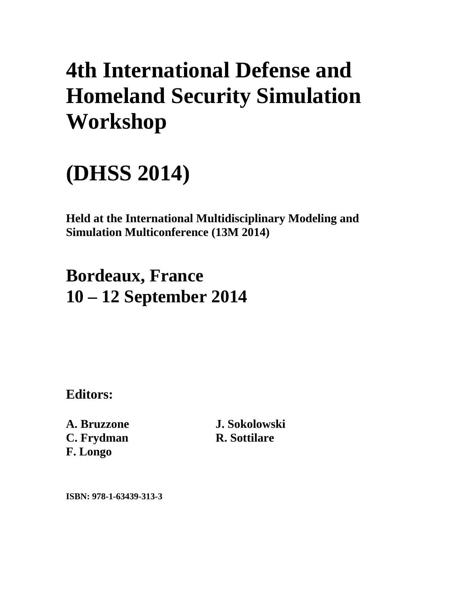# **4th International Defense and Homeland Security Simulation Workshop**

## **(DHSS 2014)**

**Held at the International Multidisciplinary Modeling and Simulation Multiconference (13M 2014)** 

## **Bordeaux, France 10 – 12 September 2014**

**Editors:** 

**A. Bruzzone C. Frydman F. Longo** 

**J. Sokolowski R. Sottilare** 

**ISBN: 978-1-63439-313-3**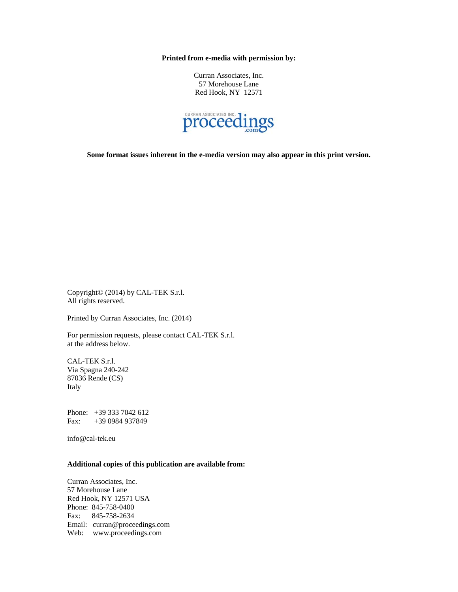**Printed from e-media with permission by:** 

Curran Associates, Inc. 57 Morehouse Lane Red Hook, NY 12571



**Some format issues inherent in the e-media version may also appear in this print version.** 

Copyright© (2014) by CAL-TEK S.r.l. All rights reserved.

Printed by Curran Associates, Inc. (2014)

For permission requests, please contact CAL-TEK S.r.l. at the address below.

CAL-TEK S.r.l. Via Spagna 240-242 87036 Rende (CS) Italy

Phone: +39 333 7042 612 Fax: +39 0984 937849

info@cal-tek.eu

#### **Additional copies of this publication are available from:**

Curran Associates, Inc. 57 Morehouse Lane Red Hook, NY 12571 USA Phone: 845-758-0400 Fax: 845-758-2634 Email: curran@proceedings.com Web: www.proceedings.com